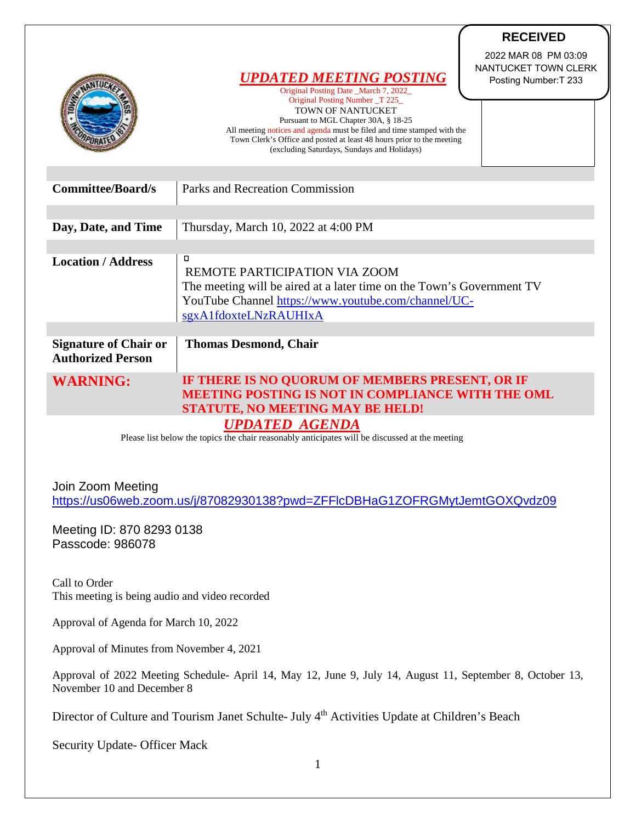|                                                          | 2022 MAR 08 PM 03:09<br>NANTUCKET TOWN CLERK<br><b>UPDATED MEETING POSTING</b><br>Posting Number: T 233<br>Original Posting Date _March 7, 2022<br>Original Posting Number T 225<br><b>TOWN OF NANTUCKET</b><br>Pursuant to MGL Chapter 30A, § 18-25<br>All meeting notices and agenda must be filed and time stamped with the<br>Town Clerk's Office and posted at least 48 hours prior to the meeting<br>(excluding Saturdays, Sundays and Holidays) |
|----------------------------------------------------------|--------------------------------------------------------------------------------------------------------------------------------------------------------------------------------------------------------------------------------------------------------------------------------------------------------------------------------------------------------------------------------------------------------------------------------------------------------|
| <b>Committee/Board/s</b>                                 | Parks and Recreation Commission                                                                                                                                                                                                                                                                                                                                                                                                                        |
|                                                          |                                                                                                                                                                                                                                                                                                                                                                                                                                                        |
| Day, Date, and Time                                      | Thursday, March 10, 2022 at 4:00 PM                                                                                                                                                                                                                                                                                                                                                                                                                    |
|                                                          |                                                                                                                                                                                                                                                                                                                                                                                                                                                        |
| <b>Location / Address</b>                                | 0<br>REMOTE PARTICIPATION VIA ZOOM<br>The meeting will be aired at a later time on the Town's Government TV<br>YouTube Channel https://www.youtube.com/channel/UC-<br>sgxA1fdoxteLNzRAUHIxA                                                                                                                                                                                                                                                            |
|                                                          |                                                                                                                                                                                                                                                                                                                                                                                                                                                        |
| <b>Signature of Chair or</b><br><b>Authorized Person</b> | <b>Thomas Desmond, Chair</b>                                                                                                                                                                                                                                                                                                                                                                                                                           |
| <b>WARNING:</b>                                          | IF THERE IS NO QUORUM OF MEMBERS PRESENT, OR IF<br>MEETING POSTING IS NOT IN COMPLIANCE WITH THE OML<br><b>STATUTE, NO MEETING MAY BE HELD!</b>                                                                                                                                                                                                                                                                                                        |
|                                                          | <b>UPDATED AGENDA</b>                                                                                                                                                                                                                                                                                                                                                                                                                                  |

**RECEIVED**

Please list below the topics the chair reasonably anticipates will be discussed at the meeting

Join Zoom Meeting <https://us06web.zoom.us/j/87082930138?pwd=ZFFlcDBHaG1ZOFRGMytJemtGOXQvdz09>

Meeting ID: 870 8293 0138 Passcode: 986078

Call to Order This meeting is being audio and video recorded

Approval of Agenda for March 10, 2022

Approval of Minutes from November 4, 2021

Approval of 2022 Meeting Schedule- April 14, May 12, June 9, July 14, August 11, September 8, October 13, November 10 and December 8

Director of Culture and Tourism Janet Schulte- July 4<sup>th</sup> Activities Update at Children's Beach

Security Update- Officer Mack